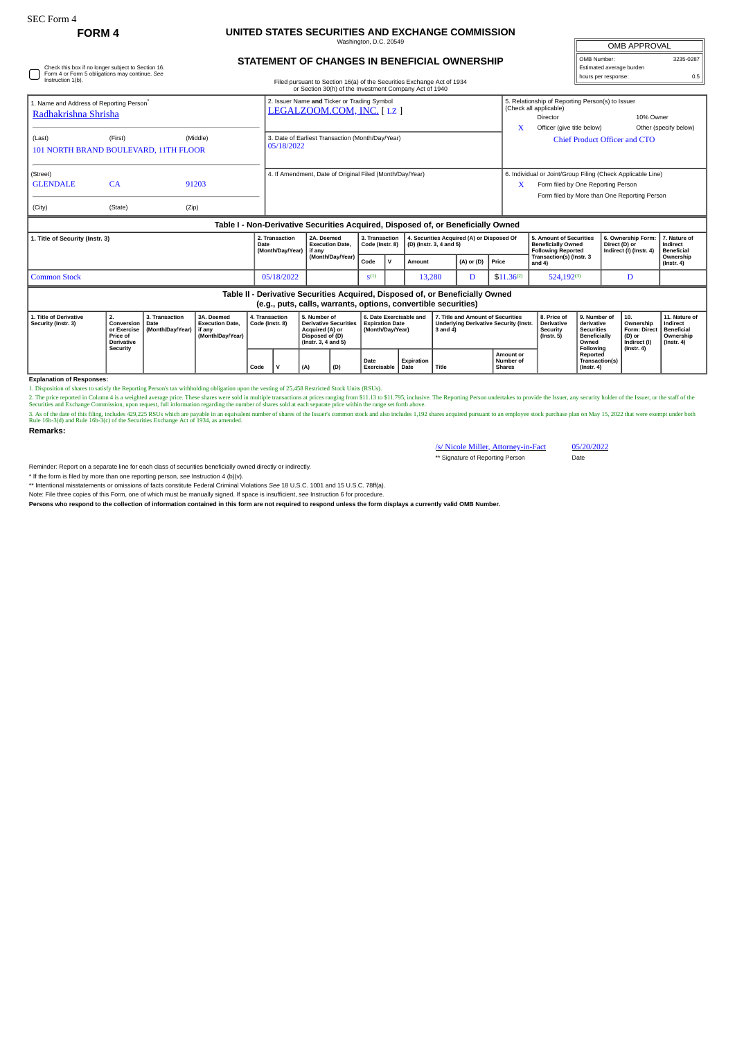### **FORM 4 UNITED STATES SECURITIES AND EXCHANGE COMMISSION** naton, D.C. 20

**STATEMENT OF CHANGES IN BENEFICIAL OWNERSHIP**

| <b>OMB APPROVAL</b>      |           |  |  |  |  |  |  |  |  |  |  |
|--------------------------|-----------|--|--|--|--|--|--|--|--|--|--|
| OMB Number:              | 3235-0287 |  |  |  |  |  |  |  |  |  |  |
| Estimated average burden |           |  |  |  |  |  |  |  |  |  |  |
| hours per response:      |           |  |  |  |  |  |  |  |  |  |  |

 $\overline{r}$ 

| Table II - Derivative Securities Acquired, Disposed of, or Beneficially Owned<br>(e.g., puts, calls, warrants, options, convertible securities) |                                                                                                      |            |                                                  |                                                                                                                                  |                                   |              |                                                                      |                                                        |                                                                                    |                                                                                   |                                                                |                                               |  |  |  |
|-------------------------------------------------------------------------------------------------------------------------------------------------|------------------------------------------------------------------------------------------------------|------------|--------------------------------------------------|----------------------------------------------------------------------------------------------------------------------------------|-----------------------------------|--------------|----------------------------------------------------------------------|--------------------------------------------------------|------------------------------------------------------------------------------------|-----------------------------------------------------------------------------------|----------------------------------------------------------------|-----------------------------------------------|--|--|--|
| <b>Common Stock</b>                                                                                                                             |                                                                                                      | 05/18/2022 |                                                  | $S^{(1)}$                                                                                                                        |                                   | 13,280       | D                                                                    | $$11.36^{(2)}$                                         | $524,192^{(3)}$                                                                    | D                                                                                 |                                                                |                                               |  |  |  |
|                                                                                                                                                 |                                                                                                      |            |                                                  | (Month/Day/Year)                                                                                                                 | Code                              | $\mathsf{v}$ | Amount                                                               | (A) or (D)                                             | Price                                                                              | Transaction(s) (Instr. 3<br>and $4$ )                                             |                                                                | Ownership<br>$($ lnstr. 4 $)$                 |  |  |  |
| 2. Transaction<br>1. Title of Security (Instr. 3)<br>Date<br>(Month/Day/Year)                                                                   |                                                                                                      |            |                                                  | 2A. Deemed<br><b>Execution Date.</b><br>l if anv                                                                                 | 3. Transaction<br>Code (Instr. 8) |              | 4. Securities Acquired (A) or Disposed Of<br>(D) (Instr. 3, 4 and 5) |                                                        |                                                                                    | 5. Amount of Securities<br><b>Beneficially Owned</b><br><b>Following Reported</b> | 6. Ownership Form:<br>Direct (D) or<br>Indirect (I) (Instr. 4) | 7. Nature of<br>Indirect<br><b>Beneficial</b> |  |  |  |
| Table I - Non-Derivative Securities Acquired, Disposed of, or Beneficially Owned                                                                |                                                                                                      |            |                                                  |                                                                                                                                  |                                   |              |                                                                      |                                                        |                                                                                    |                                                                                   |                                                                |                                               |  |  |  |
| (City)                                                                                                                                          | (State)                                                                                              | (Zip)      |                                                  |                                                                                                                                  |                                   |              |                                                                      |                                                        |                                                                                    |                                                                                   |                                                                |                                               |  |  |  |
| <b>GLENDALE</b>                                                                                                                                 | CA                                                                                                   | 91203      |                                                  |                                                                                                                                  |                                   |              |                                                                      | X                                                      | Form filed by One Reporting Person<br>Form filed by More than One Reporting Person |                                                                                   |                                                                |                                               |  |  |  |
| (Street)                                                                                                                                        |                                                                                                      |            |                                                  | 4. If Amendment, Date of Original Filed (Month/Day/Year)                                                                         |                                   |              |                                                                      |                                                        |                                                                                    | 6. Individual or Joint/Group Filing (Check Applicable Line)                       |                                                                |                                               |  |  |  |
| 101 NORTH BRAND BOULEVARD, 11TH FLOOR                                                                                                           |                                                                                                      | 05/18/2022 |                                                  |                                                                                                                                  |                                   |              |                                                                      |                                                        |                                                                                    |                                                                                   |                                                                |                                               |  |  |  |
| (Last)                                                                                                                                          | (First)                                                                                              |            | 3. Date of Earliest Transaction (Month/Day/Year) |                                                                                                                                  |                                   |              |                                                                      | Other (specify below)<br>Chief Product Officer and CTO |                                                                                    |                                                                                   |                                                                |                                               |  |  |  |
| Radhakrishna Shrisha                                                                                                                            |                                                                                                      |            |                                                  |                                                                                                                                  |                                   |              | x                                                                    | Director<br>Officer (give title below)                 | 10% Owner                                                                          |                                                                                   |                                                                |                                               |  |  |  |
| 1. Name and Address of Reporting Person®                                                                                                        |                                                                                                      |            |                                                  | 2. Issuer Name and Ticker or Trading Symbol<br>LEGALZOOM.COM, INC. [ LZ ]                                                        |                                   |              |                                                                      |                                                        | 5. Relationship of Reporting Person(s) to Issuer<br>(Check all applicable)         |                                                                                   |                                                                |                                               |  |  |  |
| Instruction 1(b).                                                                                                                               |                                                                                                      |            |                                                  | Filed pursuant to Section 16(a) of the Securities Exchange Act of 1934<br>or Section 30(h) of the Investment Company Act of 1940 |                                   |              |                                                                      |                                                        |                                                                                    |                                                                                   |                                                                | 0.5                                           |  |  |  |
|                                                                                                                                                 | Check this box if no longer subject to Section 16.<br>Form 4 or Form 5 obligations may continue. See |            |                                                  |                                                                                                                                  |                                   |              |                                                                      | Estimated average burden<br>hours per response:        |                                                                                    |                                                                                   |                                                                |                                               |  |  |  |

# **Table II - Derivative Securities Acquired, Disposed of, or Beneficially Owned (e.g., puts, calls, warrants, options, convertible securities)**

| 1. Title of Derivative<br>Security (Instr. 3) | <b>Conversion   Date</b><br>Price of<br>Derivative<br>Security | 3. Transaction<br>or Exercise   (Month/Dav/Year) | 3A. Deemed<br><b>Execution Date.</b><br>' if anv<br>(Month/Dav/Year) | 4. Transaction<br>Code (Instr. 8) |  | 5. Number of<br>Derivative Securities<br>Acquired (A) or<br>Disposed of (D)<br>(Instr. 3. 4 and 5) |     | 6. Date Exercisable and<br><b>Expiration Date</b><br>(Month/Day/Year) |                    | 7. Title and Amount of Securities<br>Underlying Derivative Security (Instr.   Derivative<br>3 and 4) |                                                | 8. Price of<br>Security<br>$($ lnstr. 5 $)$ | 9. Number of<br>derivative<br><b>Securities</b><br><b>Beneficially</b><br>Owned<br>Following | $\vert$ 10.<br>Ownership<br>Form: Direct   Beneficial<br>(D) or<br>Indirect (I) | 11. Nature of<br>Indirect<br>Ownership<br>$($ lnstr. 4 $)$ |
|-----------------------------------------------|----------------------------------------------------------------|--------------------------------------------------|----------------------------------------------------------------------|-----------------------------------|--|----------------------------------------------------------------------------------------------------|-----|-----------------------------------------------------------------------|--------------------|------------------------------------------------------------------------------------------------------|------------------------------------------------|---------------------------------------------|----------------------------------------------------------------------------------------------|---------------------------------------------------------------------------------|------------------------------------------------------------|
|                                               |                                                                |                                                  |                                                                      | Code                              |  | (A)                                                                                                | (D) | Date<br>Exercisable                                                   | Expiration<br>Date | Title                                                                                                | <b>Amount or</b><br>Number of<br><b>Shares</b> |                                             | Reported<br>Transaction(s)<br>$($ lnstr. 4 $)$                                               | $($ lnstr. 4 $)$                                                                |                                                            |

# **Explanation of Responses:**

1. Disposition of shares to satisfy the Reporting Person's tax withholding obligation upon the vesting of 25,458 Restricted Stock Units (RSUs).

2. The price reported in Column 4 is a weighted average price. These shares were sold in multiple transactions at prices ranging from \$11.13 to \$11.795, inclusive. The Reporting Person undertakes to provide the Issuer, any

#### **Remarks:**

# /s/ Nicole Miller, Attorney-in-Fact 05/20/2022 \*\* Signature of Reporting Person

Reminder: Report on a separate line for each class of securities beneficially owned directly or indirectly.

\* If the form is filed by more than one reporting person, *see* Instruction 4 (b)(v).

\*\* Intentional misstatements or omissions of facts constitute Federal Criminal Violations *See* 18 U.S.C. 1001 and 15 U.S.C. 78ff(a). Note: File three copies of this Form, one of which must be manually signed. If space is insufficient, *see* Instruction 6 for procedure.

**Persons who respond to the collection of information contained in this form are not required to respond unless the form displays a currently valid OMB Number.**